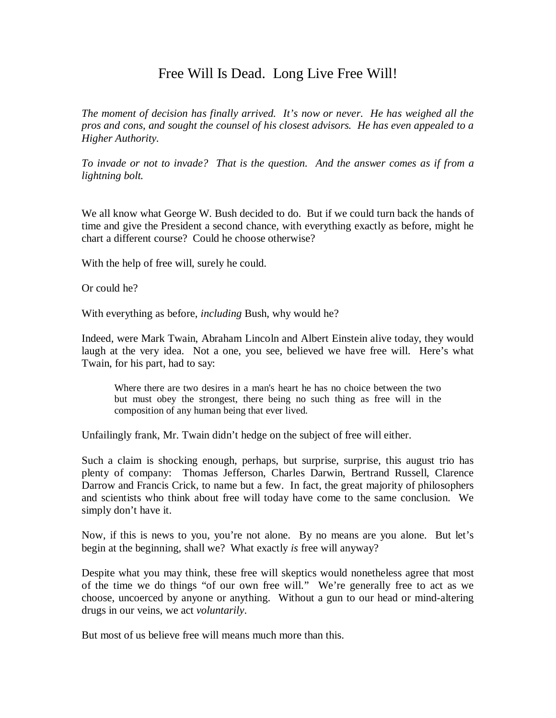## Free Will Is Dead. Long Live Free Will!

*The moment of decision has finally arrived. It's now or never. He has weighed all the pros and cons, and sought the counsel of his closest advisors. He has even appealed to a Higher Authority.* 

*To invade or not to invade? That is the question. And the answer comes as if from a lightning bolt.* 

We all know what George W. Bush decided to do. But if we could turn back the hands of time and give the President a second chance, with everything exactly as before, might he chart a different course? Could he choose otherwise?

With the help of free will, surely he could.

Or could he?

With everything as before, *including* Bush, why would he?

Indeed, were Mark Twain, Abraham Lincoln and Albert Einstein alive today, they would laugh at the very idea. Not a one, you see, believed we have free will. Here's what Twain, for his part, had to say:

Where there are two desires in a man's heart he has no choice between the two but must obey the strongest, there being no such thing as free will in the composition of any human being that ever lived.

Unfailingly frank, Mr. Twain didn't hedge on the subject of free will either.

Such a claim is shocking enough, perhaps, but surprise, surprise, this august trio has plenty of company: Thomas Jefferson, Charles Darwin, Bertrand Russell, Clarence Darrow and Francis Crick, to name but a few. In fact, the great majority of philosophers and scientists who think about free will today have come to the same conclusion. We simply don't have it.

Now, if this is news to you, you're not alone. By no means are you alone. But let's begin at the beginning, shall we? What exactly *is* free will anyway?

Despite what you may think, these free will skeptics would nonetheless agree that most of the time we do things "of our own free will." We're generally free to act as we choose, uncoerced by anyone or anything. Without a gun to our head or mind-altering drugs in our veins, we act *voluntarily*.

But most of us believe free will means much more than this.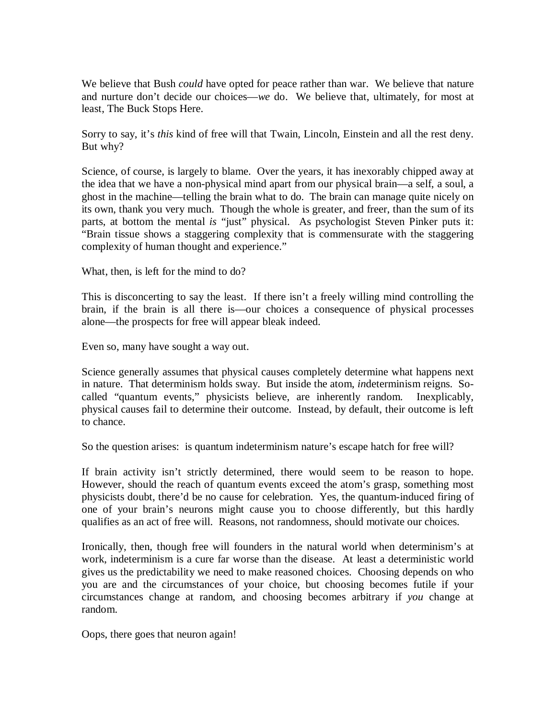We believe that Bush *could* have opted for peace rather than war. We believe that nature and nurture don't decide our choices—*we* do. We believe that, ultimately, for most at least, The Buck Stops Here.

Sorry to say, it's *this* kind of free will that Twain, Lincoln, Einstein and all the rest deny. But why?

Science, of course, is largely to blame. Over the years, it has inexorably chipped away at the idea that we have a non-physical mind apart from our physical brain—a self, a soul, a ghost in the machine—telling the brain what to do. The brain can manage quite nicely on its own, thank you very much. Though the whole is greater, and freer, than the sum of its parts, at bottom the mental *is* "just" physical. As psychologist Steven Pinker puts it: "Brain tissue shows a staggering complexity that is commensurate with the staggering complexity of human thought and experience."

What, then, is left for the mind to do?

This is disconcerting to say the least. If there isn't a freely willing mind controlling the brain, if the brain is all there is—our choices a consequence of physical processes alone—the prospects for free will appear bleak indeed.

Even so, many have sought a way out.

Science generally assumes that physical causes completely determine what happens next in nature. That determinism holds sway. But inside the atom, *in*determinism reigns. Socalled "quantum events," physicists believe, are inherently random. Inexplicably, physical causes fail to determine their outcome. Instead, by default, their outcome is left to chance.

So the question arises: is quantum indeterminism nature's escape hatch for free will?

If brain activity isn't strictly determined, there would seem to be reason to hope. However, should the reach of quantum events exceed the atom's grasp, something most physicists doubt, there'd be no cause for celebration. Yes, the quantum-induced firing of one of your brain's neurons might cause you to choose differently, but this hardly qualifies as an act of free will. Reasons, not randomness, should motivate our choices.

Ironically, then, though free will founders in the natural world when determinism's at work, indeterminism is a cure far worse than the disease. At least a deterministic world gives us the predictability we need to make reasoned choices. Choosing depends on who you are and the circumstances of your choice, but choosing becomes futile if your circumstances change at random, and choosing becomes arbitrary if *you* change at random.

Oops, there goes that neuron again!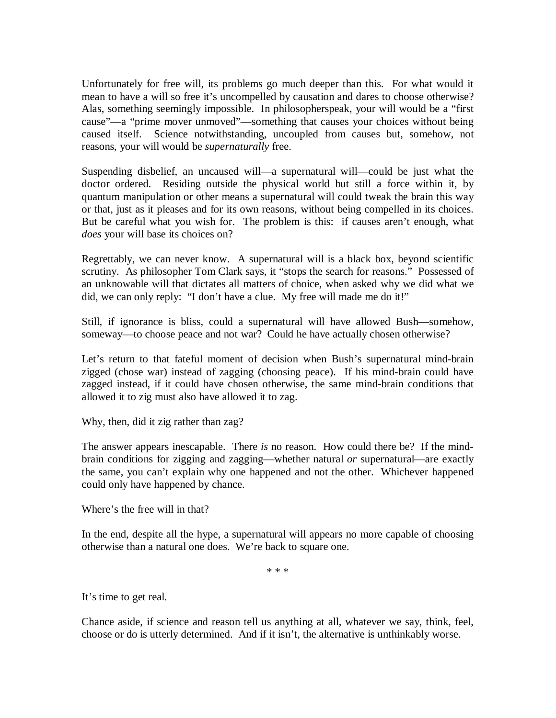Unfortunately for free will, its problems go much deeper than this. For what would it mean to have a will so free it's uncompelled by causation and dares to choose otherwise? Alas, something seemingly impossible. In philosopherspeak, your will would be a "first cause"—a "prime mover unmoved"—something that causes your choices without being caused itself. Science notwithstanding, uncoupled from causes but, somehow, not reasons, your will would be *supernaturally* free.

Suspending disbelief, an uncaused will—a supernatural will—could be just what the doctor ordered. Residing outside the physical world but still a force within it, by quantum manipulation or other means a supernatural will could tweak the brain this way or that, just as it pleases and for its own reasons, without being compelled in its choices. But be careful what you wish for. The problem is this: if causes aren't enough, what *does* your will base its choices on?

Regrettably, we can never know. A supernatural will is a black box, beyond scientific scrutiny. As philosopher Tom Clark says, it "stops the search for reasons." Possessed of an unknowable will that dictates all matters of choice, when asked why we did what we did, we can only reply: "I don't have a clue. My free will made me do it!"

Still, if ignorance is bliss, could a supernatural will have allowed Bush—somehow, someway—to choose peace and not war? Could he have actually chosen otherwise?

Let's return to that fateful moment of decision when Bush's supernatural mind-brain zigged (chose war) instead of zagging (choosing peace). If his mind-brain could have zagged instead, if it could have chosen otherwise, the same mind-brain conditions that allowed it to zig must also have allowed it to zag.

Why, then, did it zig rather than zag?

The answer appears inescapable. There *is* no reason. How could there be? If the mindbrain conditions for zigging and zagging—whether natural *or* supernatural—are exactly the same, you can't explain why one happened and not the other. Whichever happened could only have happened by chance.

Where's the free will in that?

In the end, despite all the hype, a supernatural will appears no more capable of choosing otherwise than a natural one does. We're back to square one.

\* \* \*

It's time to get real.

Chance aside, if science and reason tell us anything at all, whatever we say, think, feel, choose or do is utterly determined. And if it isn't, the alternative is unthinkably worse.